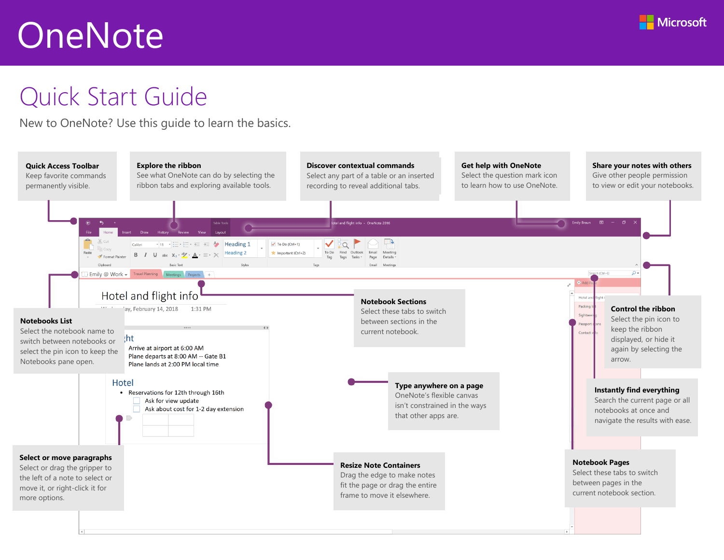

# Quick Start Guide

New to OneNote? Use this guide to learn the basics.

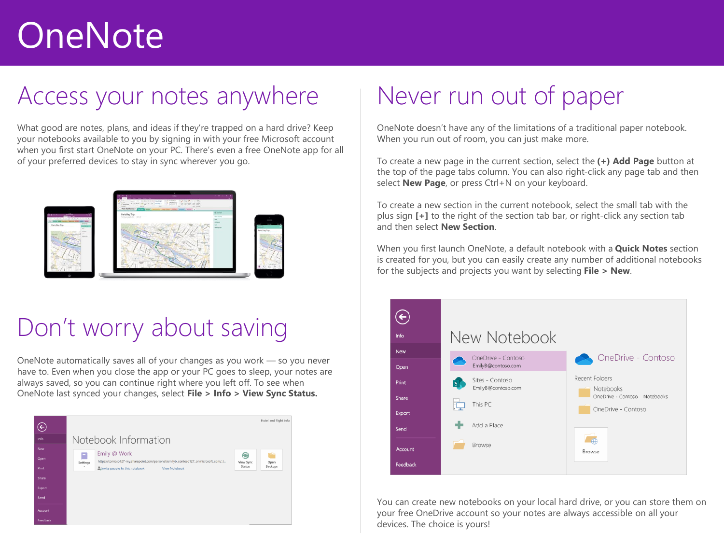## Access your notes anywhere

What good are notes, plans, and ideas if they're trapped on a hard drive? Keep your notebooks available to you by signing in with your free Microsoft account when you first start OneNote on your PC. There's even a free OneNote app for all of your preferred devices to stay in sync wherever you go.



# Don't worry about saving

OneNote automatically saves all of your changes as you work — so you never have to. Even when you close the app or your PC goes to sleep, your notes are always saved, so you can continue right where you left off. To see when OneNote last synced your changes, select **File > Info > View Sync Status.**



# Never run out of paper

OneNote doesn't have any of the limitations of a traditional paper notebook. When you run out of room, you can just make more.

To create a new page in the current section, select the **(+) Add Page** button at the top of the page tabs column. You can also right-click any page tab and then select **New Page**, or press Ctrl+N on your keyboard.

To create a new section in the current notebook, select the small tab with the plus sign **[+]** to the right of the section tab bar, or right-click any section tab and then select **New Section**.

When you first launch OneNote, a default notebook with a **Quick Notes** section is created for you, but you can easily create any number of additional notebooks for the subjects and projects you want by selecting **File > New**.



You can create new notebooks on your local hard drive, or you can store them on your free OneDrive account so your notes are always accessible on all your devices. The choice is yours!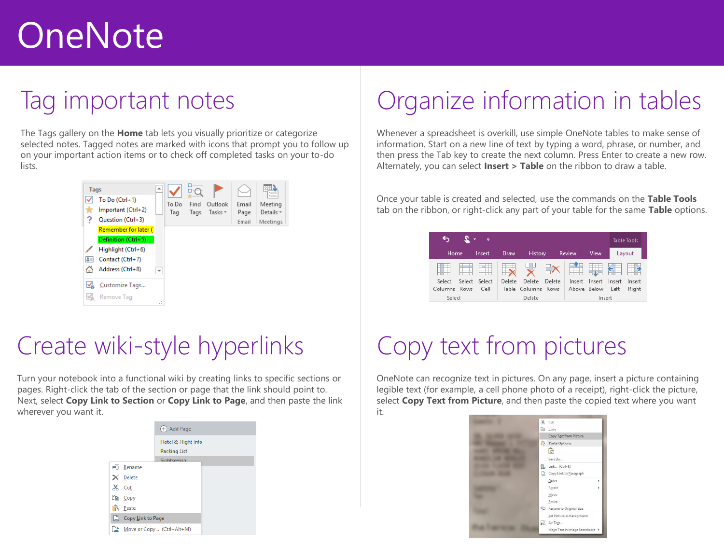## Tag important notes

The Tags gallery on the **Home** tab lets you visually prioritize or categorize selected notes. Tagged notes are marked with icons that prompt you to follow up on your important action items or to check off completed tasks on your to-do lists.



### Create wiki-style hyperlinks

Turn your notebook into a functional wiki by creating links to specific sections or pages. Right-click the tab of the section or page that the link should point to. Next, select **Copy Link to Section** or **Copy Link to Page**, and then paste the link wherever you want it.

|    |                   | (+) Add Page              |  |
|----|-------------------|---------------------------|--|
|    |                   | Hotel & Flight Info       |  |
|    |                   | <b>Packing List</b>       |  |
|    |                   | Sightseeing               |  |
|    | 画 Rename          |                           |  |
|    | $\times$ Delete   |                           |  |
| Ж  | Cut               |                           |  |
|    | ling Copy         |                           |  |
| ĥ, | Paste             |                           |  |
| B  | Copy Link to Page |                           |  |
| ™  |                   | Move or Copy (Ctrl+Alt+M) |  |

# Organize information in tables

Whenever a spreadsheet is overkill, use simple OneNote tables to make sense of information. Start on a new line of text by typing a word, phrase, or number, and then press the Tab key to create the next column. Press Enter to create a new row. Alternately, you can select **Insert > Table** on the ribbon to draw a table.

Once your table is created and selected, use the commands on the **Table Tools**  tab on the ribbon, or right-click any part of your table for the same **Table** options.

| - 7                    |        |             |                    |        |        |        |        | <b>Table Tools</b> |  |
|------------------------|--------|-------------|--------------------|--------|--------|--------|--------|--------------------|--|
| Home                   | Insert | <b>Draw</b> | History            |        | Review | View   |        | Layout             |  |
|                        |        |             | 니니                 |        |        | $-44$  |        |                    |  |
| Select<br>Select       | Select | Delete      | Delete             | Delete | Insert | Insert | Insert | Insert             |  |
| <b>Rows</b><br>Columns | Cell   |             | Table Columns Rows |        | Above  | Below  | Left   | Right              |  |
| Select                 | Delete |             |                    |        | Insert |        |        |                    |  |

# Copy text from pictures

OneNote can recognize text in pictures. On any page, insert a picture containing legible text (for example, a cell phone photo of a receipt), right-click the picture, select **Copy Text from Picture**, and then paste the copied text where you want it.